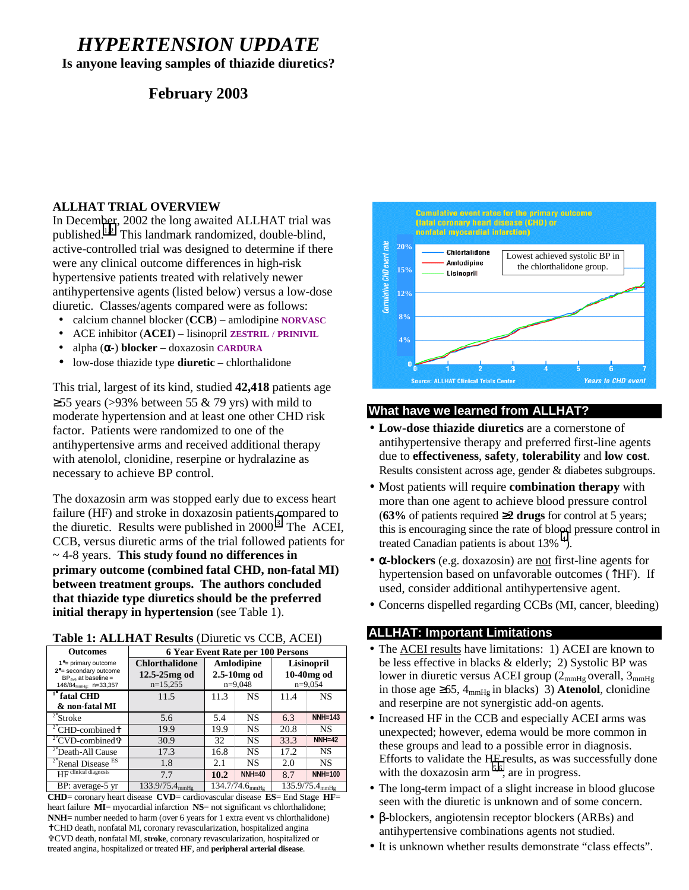# *HYPERTENSION UPDATE*

**Is anyone leaving samples of thiazide diuretics?**

# **February 2003**

## **ALLHAT TRIAL OVERVIEW**

In December, 2002 the long awaited ALLHAT trial was published[.1,2](#page-5-0) This landmark randomized, double-blind, active-controlled trial was designed to determine if there were any clinical outcome differences in high-risk hypertensive patients treated with relatively newer antihypertensive agents (listed below) versus a low-dose diuretic. Classes/agents compared were as follows:

- calcium channel blocker (**CCB**) amlodipine **NORVASC**
- ACE inhibitor (**ACEI**) lisinopril **ZESTRIL** / **PRINIVIL**
- alpha (α**-**) **blocker** doxazosin **CARDURA**
- low-dose thiazide type **diuretic** chlorthalidone

This trial, largest of its kind, studied **42,418** patients age  $≥55$  years (>93% between 55 & 79 yrs) with mild to moderate hypertension and at least one other CHD risk factor. Patients were randomized to one of the antihypertensive arms and received additional therapy with atenolol, clonidine, reserpine or hydralazine as necessary to achieve BP control.

The doxazosin arm was stopped early due to excess heart failure (HF) and stroke in doxazosin patients compared to the diuretic. Results were published in  $2000$ <sup>[3](#page-5-0)</sup> The ACEI, CCB, versus diuretic arms of the trial followed patients for ~ 4-8 years. **This study found no differences in primary outcome (combined fatal CHD, non-fatal MI) between treatment groups. The authors concluded that thiazide type diuretics should be the preferred initial therapy in hypertension** (see Table 1).

|  |  |  |  | Table 1: ALLHAT Results (Diuretic vs CCB, ACEI) |  |  |
|--|--|--|--|-------------------------------------------------|--|--|
|--|--|--|--|-------------------------------------------------|--|--|

| <b>Outcomes</b>                                                                                                        | 6 Year Event Rate per 100 Persons                       |                                          |           |                                       |                |
|------------------------------------------------------------------------------------------------------------------------|---------------------------------------------------------|------------------------------------------|-----------|---------------------------------------|----------------|
| 1 <sup>°</sup> = primary outcome<br>2°= secondary outcome<br>$BPave$ at baseline =<br>146/84 <sub>mmHa:</sub> n=33,357 | <b>Chlorthalidone</b><br>$12.5 - 25mg$ od<br>$n=15,255$ | Amlodipine<br>$2.5-10mg$ od<br>$n=9,048$ |           | Lisinopril<br>10-40mg od<br>$n=9,054$ |                |
| $T^{\circ}$ fatal CHD                                                                                                  | 11.5                                                    | 11.3                                     | <b>NS</b> | 11.4                                  | <b>NS</b>      |
| & non-fatal MI                                                                                                         |                                                         |                                          |           |                                       |                |
| $2^{\circ}$ Stroke                                                                                                     | 5.6                                                     | 5.4                                      | <b>NS</b> | 6.3                                   | <b>NNH=143</b> |
| <sup>2°</sup> CHD-combined <sup>†</sup>                                                                                | 19.9                                                    | 19.9                                     | <b>NS</b> | 20.8                                  | <b>NS</b>      |
| <sup>2°</sup> CVD-combined <sup>®</sup>                                                                                | 30.9                                                    | 32                                       | NS        | 33.3                                  | $NNH=42$       |
| <sup>2°</sup> Death-All Cause                                                                                          | 17.3                                                    | 16.8                                     | <b>NS</b> | 17.2                                  | <b>NS</b>      |
| <sup>2°</sup> Renal Disease <sup>ES</sup>                                                                              | 1.8                                                     | 2.1                                      | <b>NS</b> | 2.0                                   | NS             |
| HF clinical diagnosis                                                                                                  | 7.7                                                     | 10.2                                     | $NNH=40$  | 8.7                                   | <b>NNH=100</b> |
| BP: average-5 yr                                                                                                       | 133.9/75.4mmHg                                          | $134.7/74.6$ <sub>mmHg</sub>             |           | $135.9/75.4_{mmHg}$                   |                |

**CHD**= coronary heart disease **CVD**= cardiovascular disease **ES**= End Stage **HF**= heart failure **MI**= myocardial infarction **NS**= not significant vs chlorthalidone; **NNH**= number needed to harm (over 6 years for 1 extra event vs chlorthalidone) ✝ CHD death, nonfatal MI, coronary revascularization, hospitalized angina ✞ CVD death, nonfatal MI, **stroke**, coronary revascularization, hospitalized or treated angina, hospitalized or treated **HF**, and **peripheral arterial disease**.



## **What have we learned from ALLHAT?**

- **Low-dose thiazide diuretics** are a cornerstone of antihypertensive therapy and preferred first-line agents due to **effectiveness**, **safety**, **tolerability** and **low cost**. Results consistent across age, gender & diabetes subgroups.
- Most patients will require **combination therapy** with more than one agent to achieve blood pressure control (**63%** of patients required ≥**2 drugs** for control at 5 years; this is encouraging since the rate of blo[od](#page-5-0) pressure control in treated Canadian patients is about  $13\%$ <sup>4</sup>).
- α**-blockers** (e.g. doxazosin) are not first-line agents for hypertension based on unfavorable outcomes (↑HF). If used, consider additional antihypertensive agent.
- Concerns dispelled regarding CCBs (MI, cancer, bleeding)

# **ALLHAT: Important Limitations**

- The ACEI results have limitations: 1) ACEI are known to be less effective in blacks & elderly; 2) Systolic BP was lower in diuretic versus ACEI group  $(2_{mmHg}$  overall,  $3_{mmHg}$ in those age  $\geq 65$ ,  $4_{mmHg}$  in blacks) 3) **Atenolol**, clonidine and reserpine are not synergistic add-on agents.
- Increased HF in the CCB and especially ACEI arms was unexpected; however, edema would be more common in these groups and lead to a possible error in diagnosis. Efforts to validate the HF results, as was successfully done with the doxazosin arm  $^{5,6}$ , are in progress.
- The long-term impact of a slight increase in blood glucose seen with the diuretic is unknown and of some concern.
- β-blockers, angiotensin receptor blockers (ARBs) and antihypertensive combinations agents not studied.
- It is unknown whether results demonstrate "class effects".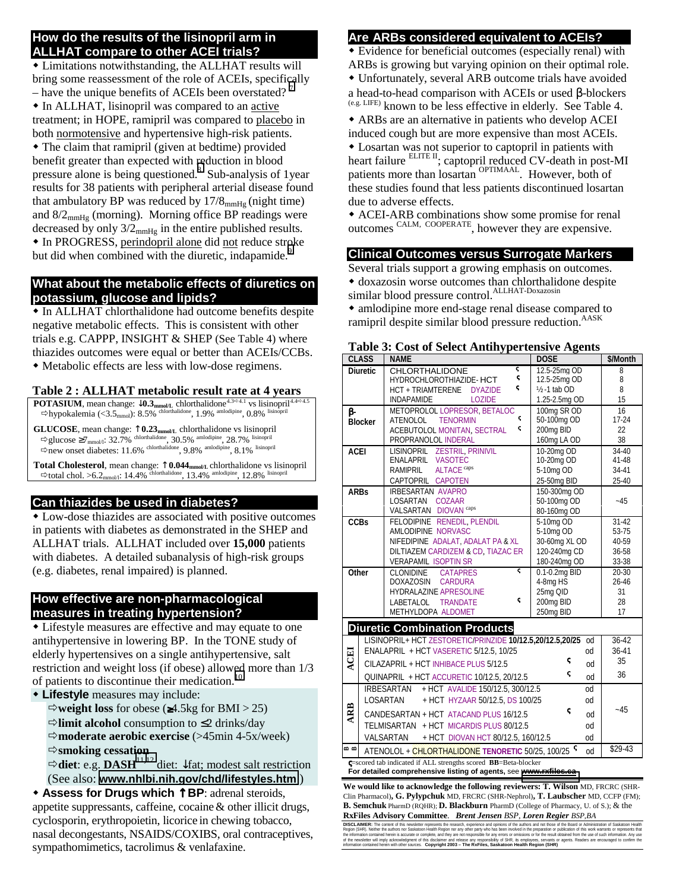#### **How do the results of the lisinopril arm in ALLHAT compare to other ACEI trials?**

 Limitations notwithstanding, the ALLHAT results will bring some reassessment of the role of ACEIs, specifically

– have the unique benefits of ACEIs been overstated?<sup>7</sup> • In ALLHAT, lisinopril was compared to an active treatment; in HOPE, ramipril was compared to placebo in both normotensive and hypertensive high-risk patients.

 The claim that ramipril (given at bedtime) provided benefit greater than expected with [re](#page-5-0)duction in blood pressure alone is being questioned.<sup>8</sup> Sub-analysis of 1year results for 38 patients with peripheral arterial disease found that ambulatory BP was reduced by  $17/8_{mmHg}$  (night time) and  $8/2<sub>mmHg</sub>$  (morning). Morning office BP readings were decreased by only  $3/2_{mmHg}$  in the entire published results.  $\bullet$  In PROGRESS, perindopril alone did not reduce stroke but did when combined with the diuretic, indapamide.<sup>9</sup>

# **What about the metabolic effects of diuretics on potassium, glucose and lipids?**

 In ALLHAT chlorthalidone had outcome benefits despite negative metabolic effects. This is consistent with other trials e.g. CAPPP, INSIGHT & SHEP (See Table 4) where thiazides outcomes were equal or better than ACEIs/CCBs. Metabolic effects are less with low-dose regimens.

# **Table 2 : ALLHAT metabolic result rate at 4 years**

**POTASIUM**, mean change:  $\downarrow$ **0.3**<sub>mmol/L</sub> chlorthalidone<sup>4.3⇔4.1</sup> vs lisinopril<sup>4.4⇔4</sup>.  $\Rightarrow$ hypokalemia (<3.5<sub>mmol</sub>): 8.5% chlorthalidone, 1.9% amlodipine, 0.8% lisinopril

**GLUCOSE**, mean change: ↑ **0.23mmol/L** chlorthalidone vs lisinopril  $\Rightarrow$  glucose  $\geq 7$ <sub>mmol/l</sub>: 32.7% chlorthalidone, 30.5% amlodipine, 28.7% lisinopril  $\Rightarrow$  new onset diabetes: 11.6% chlorthalidone, 9.8% amlodipine, 8.1% lisinopril

Total Cholesterol, mean change: ↑ 0.044<sub>mmol/L</sub> chlorthalidone vs lisinopril  $t \Rightarrow$  total chol. >6.2<sub>mmol/l</sub>: 14.4% chlorthalidone, 13.4% amlodipine, 12.8% lisinopril

# **Can thiazides be used in diabetes?**

 Low-dose thiazides are associated with positive outcomes in patients with diabetes as demonstrated in the SHEP and ALLHAT trials. ALLHAT included over **15,000** patients with diabetes. A detailed subanalysis of high-risk groups (e.g. diabetes, renal impaired) is planned.

#### **How effective are non-pharmacological measures in treating hypertension?**

 Lifestyle measures are effective and may equate to one antihypertensive in lowering BP. In the TONE study of elderly hypertensives on a single antihypertensive, salt restriction and weight loss (if obese) allowed more than 1/3 of patients to discontinue their medication.<sup>[10](#page-5-0)</sup>

**Lifestyle** measures may include:

-**weight loss** for obese (≥4.5kg for BMI > 25)

-**limit alcohol** consumption to ≤2 drinks/day -**moderate aerobic exercise** (>45min 4-5x/week) -**smoking cessation**

-**diet**: e.g. **DASH**[11](#page-5-0)**,**[12](#page-5-0) diet: ↓fat; modest salt restriction

(See also: **[www.nhlbi.nih.gov/chd/lifestyles.htm](http://www.nhlbi.nih.gov/chd/lifestyles.htm)** )

 **Assess for Drugs which** ↑ **BP**: adrenal steroids, appetite suppressants, caffeine, cocaine& other illicit drugs, cyclosporin, erythropoietin, licorice in chewing tobacco, nasal decongestants, NSAIDS/COXIBS, oral contraceptives, sympathomimetics, tacrolimus & venlafaxine.

# **Are ARBs considered equivalent to ACEIs? .**

Evidence for beneficial outcomes (especially renal) with

ARBs is growing but varying opinion on their optimal role. Unfortunately, several ARB outcome trials have avoided

a head-to-head comparison with ACEIs or used β-blockers (e.g. LIFE) known to be less effective in elderly. See Table 4.

 ARBs are an alternative in patients who develop ACEI induced cough but are more expensive than most ACEIs.

 Losartan was not superior to captopril in patients with heart failure ELITE II; captopril reduced CV-death in post-MI patients more than losartan <sup>OPTIMAAL</sup>. However, both of these studies found that less patients discontinued losartan due to adverse effects.

 ACEI-ARB combinations show some promise for renal outcomes CALM, COOPERATE, however they are expensive.

# **Clinical Outcomes versus Surrogate Markers**

Several trials support a growing emphasis on outcomes. doxazosin worse outcomes than chlorthalidone despite similar blood pressure control.<sup>ALLHAT-Doxazosin</sup>

 amlodipine more end-stage renal disease compared to ramipril despite similar blood pressure reduction. AASK

|             | <b>CLASS</b>                                                                                                                                       | <b>NAME</b>                                               | <b>DOSE</b>               | \$/Month  |  |  |  |
|-------------|----------------------------------------------------------------------------------------------------------------------------------------------------|-----------------------------------------------------------|---------------------------|-----------|--|--|--|
|             | <b>Diuretic</b>                                                                                                                                    | ς<br><b>CHLORTHALIDONE</b>                                | 12.5-25mg OD              | 8         |  |  |  |
|             |                                                                                                                                                    | ς<br>HYDROCHLOROTHIAZIDE- HCT                             | 12.5-25mg OD              | 8         |  |  |  |
|             |                                                                                                                                                    | ς<br><b>HCT + TRIAMTERENE</b><br><b>DYAZIDE</b>           | 1/ <sub>2</sub> -1 tab OD | 8         |  |  |  |
|             |                                                                                                                                                    | <b>INDAPAMIDE</b><br><b>LOZIDE</b>                        | 1.25-2.5mg OD             | 15        |  |  |  |
| ß-          |                                                                                                                                                    | METOPROLOL LOPRESOR, BETALOC                              | 100mg SR OD               | 16        |  |  |  |
|             | <b>Blocker</b>                                                                                                                                     | ς<br><b>TENORMIN</b><br>ATENOLOL                          | 50-100mg OD               | $17-24$   |  |  |  |
|             |                                                                                                                                                    | ς<br>ACEBUTOLOL MONITAN, SECTRAL                          | 200mg BID                 | 22        |  |  |  |
|             |                                                                                                                                                    | PROPRANOLOL INDERAL                                       | 160mg LA OD               | 38        |  |  |  |
| <b>ACEI</b> |                                                                                                                                                    | LISINOPRIL ZESTRIL, PRINIVIL                              | 10-20mg OD                | 34-40     |  |  |  |
|             |                                                                                                                                                    | ENALAPRIL VASOTEC                                         | 10-20mg OD                | 41-48     |  |  |  |
|             |                                                                                                                                                    | <b>ALTACE</b> caps<br>RAMIPRIL                            | 5-10mg OD                 | 34-41     |  |  |  |
|             |                                                                                                                                                    | CAPTOPRIL CAPOTEN                                         | 25-50mg BID               | 25-40     |  |  |  |
| <b>ARBs</b> |                                                                                                                                                    | <b>IRBESARTAN AVAPRO</b><br>LOSARTAN<br><b>COZAAR</b>     | 150-300mg OD              |           |  |  |  |
|             |                                                                                                                                                    | VALSARTAN DIOVAN <sup>caps</sup>                          | 50-100mg OD               | -45       |  |  |  |
|             |                                                                                                                                                    | FELODIPINE RENEDIL, PLENDIL                               | 80-160mg OD<br>5-10mg OD  | $31-42$   |  |  |  |
| <b>CCBs</b> |                                                                                                                                                    | AMLODIPINE NORVASC                                        | 5-10mg OD                 | 53-75     |  |  |  |
|             |                                                                                                                                                    | NIFEDIPINE ADALAT, ADALAT PA & XL                         | 30-60mg XL OD             | 40-59     |  |  |  |
|             |                                                                                                                                                    | DILTIAZEM CARDIZEM & CD, TIAZAC ER                        | 120-240mg CD              | 36-58     |  |  |  |
|             |                                                                                                                                                    | <b>VERAPAMIL ISOPTIN SR</b>                               | 180-240mg OD              | 33-38     |  |  |  |
| Other       |                                                                                                                                                    | ς<br><b>CLONIDINE</b><br><b>CATAPRES</b>                  | 0.1-0.2mg BID             | $20 - 30$ |  |  |  |
|             |                                                                                                                                                    | DOXAZOSIN<br><b>CARDURA</b>                               | 4-8mg HS                  | $26 - 46$ |  |  |  |
|             |                                                                                                                                                    | HYDRALAZINE APRESOLINE                                    | 25mg QID                  | 31        |  |  |  |
|             |                                                                                                                                                    | ς<br>LABETALOL<br><b>TRANDATE</b>                         | 200mg BID                 | 28        |  |  |  |
|             |                                                                                                                                                    | METHYLDOPA ALDOMET                                        | 250mg BID                 | 17        |  |  |  |
|             |                                                                                                                                                    | <b>Diuretic Combination Products</b>                      |                           |           |  |  |  |
|             |                                                                                                                                                    | LISINOPRIL+ HCT ZESTORETIC/PRINZIDE 10/12.5,20/12.5,20/25 | od                        | 36-42     |  |  |  |
|             |                                                                                                                                                    | ENALAPRIL + HCT VASERETIC 5/12.5, 10/25                   | od                        | $36 - 41$ |  |  |  |
| <b>ACEI</b> |                                                                                                                                                    |                                                           | ς                         | 35        |  |  |  |
|             |                                                                                                                                                    | CILAZAPRIL + HCT INHIBACE PLUS 5/12.5                     | bo                        |           |  |  |  |
|             |                                                                                                                                                    | QUINAPRIL + HCT ACCURETIC 10/12.5, 20/12.5                | ς<br>od                   | 36        |  |  |  |
|             |                                                                                                                                                    | + HCT AVALIDE 150/12.5, 300/12.5<br>IRBESARTAN            | od                        |           |  |  |  |
|             | LOSARTAN<br>+ HCT HYZAAR 50/12.5, DS 100/25<br>bo<br>ς<br>CANDESARTAN + HCT ATACAND PLUS 16/12.5<br>bo                                             |                                                           |                           |           |  |  |  |
| <b>ARB</b>  |                                                                                                                                                    |                                                           |                           |           |  |  |  |
|             |                                                                                                                                                    | TELMISARTAN + HCT MICARDIS PLUS 80/12.5                   | od                        |           |  |  |  |
|             |                                                                                                                                                    | VALSARTAN<br>+ HCT DIOVAN HCT 80/12.5, 160/12.5           | <sub>0</sub> d            |           |  |  |  |
| മമ          |                                                                                                                                                    |                                                           |                           | \$29-43   |  |  |  |
|             |                                                                                                                                                    | ATENOLOL + CHLORTHALIDONE TENORETIC 50/25, 100/25 S       | od                        |           |  |  |  |
|             | <b>C</b> =scored tab indicated if ALL strengths scored <b>BB</b> =Beta-blocker<br>For detailed comprehensive listing of agents, see www.rxfiles.ca |                                                           |                           |           |  |  |  |
|             |                                                                                                                                                    |                                                           |                           |           |  |  |  |

#### **Table 3: Cost of Select Antihypertensive Agents**

**We would like to acknowledge the following reviewers: T. Wilson** MD, FRCRC (SHR-Clin Pharmacol)**, G. Pylypchuk** MD, FRCRC (SHR-Nephrol)**, T. Laubscher** MD, CCFP (FM);

**B. Semchuk** PharmD (RQHR); **D. Blackburn** PharmD (College of Pharmacy, U. of S.); & the **RxFiles Advisory Committee**. *Brent Jensen BSP, Loren Regier BSP,BA*

**DISCLAMER:** The content of this newslett represents the research, experience and opinions of the authors and not hose of the Board or Schalland of Sackatoon Health<br>Region (SHR). Neither the authors nor Saskatoon Health Re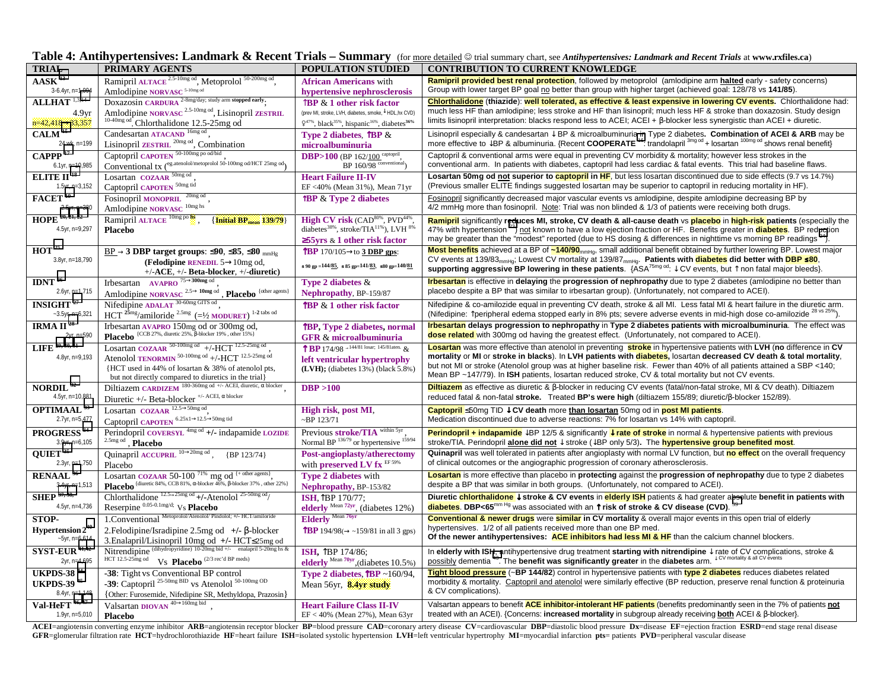| Table 4: Antihypertensives: Landmark & Recent Trials - Summary (for more detailed @ trial summary chart, see Antihypertensives: Landmark and Recent Trials at www.rxfiles.ca) |
|-------------------------------------------------------------------------------------------------------------------------------------------------------------------------------|
|                                                                                                                                                                               |

| <b>TRIAL</b>                        | PRIMARY AGENTS                                                                                       | <b>POPULATION STUDIED</b>                                                             | <b>CONTRIBUTION TO CURRENT KNOWLEDGE</b>                                                                                                                                                                                                                              |
|-------------------------------------|------------------------------------------------------------------------------------------------------|---------------------------------------------------------------------------------------|-----------------------------------------------------------------------------------------------------------------------------------------------------------------------------------------------------------------------------------------------------------------------|
| $AASK$ <sup>13</sup>                | Ramipril ALTACE <sup>2.5-10mg od</sup> , Metoprolol <sup>50-200mg od</sup> ,                         | <b>African Americans</b> with                                                         | Ramipril provided best renal protection, followed by metoprolol (amlodipine arm halted early - safety concerns)                                                                                                                                                       |
| 3-6.4yr, n=1,094                    | Amlodipine NORVASC <sup>5-10mg od</sup>                                                              | hypertensive nephrosclerosis                                                          | Group with lower target BP goal no better than group with higher target (achieved goal: 128/78 vs 141/85).                                                                                                                                                            |
| $ALLHAT$ <sup>1,3,14</sup>          | DOXAZOSIN CARDURA <sup>2-8mg/day;</sup> study arm stopped early.                                     | $\hat{a}$ BP & 1 other risk factor                                                    | Chlorthalidone (thiazide): well tolerated, as effective & least expensive in lowering CV events. Chlorthalidone had:                                                                                                                                                  |
| 4.9 <sub>vr</sub>                   | Amlodipine NORVASC <sup>2.5-10mg od</sup> , Lisinopril ZESTRIL                                       | (prev MI, stroke, LVH, diabetes, smoke, ↓ HDL, hx CVD)                                | much less HF than amlodipine; less stroke and HF than lisinopril; much less HF & stroke than doxazosin. Study design                                                                                                                                                  |
| $n=42.418 \rightarrow 33.357$       | <sup>10-40mg od</sup> , Chlorthalidone 12.5-25mg od                                                  | $9^{47\%}$ , black <sup>35%</sup> , hispanic <sup>16%</sup> , diabetes <sup>36%</sup> | limits lisinopril interpretation: blacks respond less to ACEI; ACEI + $\beta$ -blocker less synergistic than ACEI + diuretic.                                                                                                                                         |
| CALM <sup>15</sup>                  | Candesartan ATACAND <sup>16mg od</sup> ,                                                             | Type 2 diabetes, $\mathbf{\hat{B}P} \&$                                               | Lisinopril especially & candesartan $\downarrow$ BP & microalbuminuria in Type 2 diabetes. Combination of ACEI & ARB may be                                                                                                                                           |
| 24 wk, n=199                        | Lisinopril ZESTRIL <sup>20mg od</sup> , Combination                                                  | microalbuminuria                                                                      | more effective to JBP & albuminuria. {Recent COOPERATE <sup>16</sup> : trandolapril <sup>3mg od</sup> + losartan <sup>100mg od</sup> shows renal benefit}                                                                                                             |
| $\overline{CAPPP}$ <sup>17</sup>    | Captopril CAPOTEN <sup>50-100mg</sup> po od/bid                                                      | <b>DBP&gt;100</b> (BP 162/100 captopril,                                              | Captopril & conventional arms were equal in preventing CV morbidity & mortality; however less strokes in the                                                                                                                                                          |
| 6.1yr, n=10,985                     | Conventional $tx$ ( <sup>eg.atenolol/metoprolol 50-100mg od/HCT 25mg od<sub>1</sub></sup>            | BP 160/98 conventional                                                                | conventional arm. In patients with diabetes, captopril had less cardiac & fatal events. This trial had baseline flaws.                                                                                                                                                |
| ELITE II <sup>18</sup>              | Losartan COZAAR <sup>50mg od</sup>                                                                   |                                                                                       | Losartan 50mg od not superior to captopril in HF, but less losartan discontinued due to side effects (9.7 vs 14.7%)                                                                                                                                                   |
| 1.5yr, n=3,152                      | Captopril CAPOTEN <sup>50mg tid</sup>                                                                | <b>Heart Failure II-IV</b>                                                            | (Previous smaller ELITE findings suggested losartan may be superior to captopril in reducing mortality in HF).                                                                                                                                                        |
| $FACET$ <sup>19</sup>               | Fosinopril MONOPRIL <sup>20mg od</sup>                                                               | EF <40% (Mean 31%), Mean 71yr                                                         | Fosinopril significantly decreased major vascular events vs amlodipine, despite amlodipine decreasing BP by                                                                                                                                                           |
|                                     |                                                                                                      | <b>TBP &amp; Type 2 diabetes</b>                                                      | 4/2 mmHg more than fosinopril. Note: Trial was non blinded & 1/3 of patients were receiving both drugs.                                                                                                                                                               |
| 2.5yr, n=380<br>$HOPE^{20, 21, 22}$ | Amlodipine NORVASC <sup>10mg hs</sup>                                                                |                                                                                       |                                                                                                                                                                                                                                                                       |
| 4.5yr, n=9,297                      | Ramipril ALTACE <sup>10mg po by</sup><br>$\{$ Initial BP <sub>mean</sub> 139/79                      | High CV risk (CAD <sup>80%</sup> , PVD <sup>44%</sup>                                 | Ramipril significantly reduces MI, stroke, CV death & all-cause death vs placebo in high-risk patients (especially the                                                                                                                                                |
|                                     | <b>Placebo</b>                                                                                       | diabetes <sup>38%</sup> , stroke/TIA <sup>11%</sup> ), LVH <sup>8%</sup>              | 47% with hypertension <sup>23</sup> ) not known to have a low ejection fraction or HF. Benefits greater in <b>diabetes</b> . BP reduction<br>may be greater than the "modest" reported (due to HS dosing & differences in nighttime vs morning BP readings $^{24}$ ). |
|                                     |                                                                                                      | $\geq$ 55 yrs & 1 other risk factor                                                   | Most benefits achieved at a BP of ~140/90 <sub>mmHa</sub> , small additional benefit obtained by further lowering BP. Lowest major                                                                                                                                    |
| HOT <sup>25</sup>                   | $BP \rightarrow 3$ DBP target groups: $\leq 90$ , $\leq 85$ , $\leq 80$ mmHg                         | TBP 170/105 $\rightarrow$ to 3 DBP gps:                                               | CV events at 139/83 <sub>mmHa</sub> ; Lowest CV mortality at 139/87 <sub>mmHa</sub> . Patients with <b>diabetes</b> did better with DBP <b>≤80</b> ,                                                                                                                  |
| 3.8yr, n=18,790                     | (Felodipine RENEDIL $5 \rightarrow 10$ mg od,                                                        | $\leq 90$ gp = $144/85$ , $\leq 85$ gp= $141/83$ , $\leq 80$ gp= $140/81$             | supporting aggressive BP lowering in these patients. $\{ASA^{75mg \text{ od}}:\downarrow$ CV events, but $\uparrow$ non fatal major bleeds).                                                                                                                          |
|                                     | $+/-$ ACE, $+/-$ Beta-blocker, $+/-$ diuretic)                                                       |                                                                                       |                                                                                                                                                                                                                                                                       |
| IDNT $^{26}$                        | Irbesartan AVAPRO $75 \rightarrow 300$ mg od                                                         | Type 2 diabetes $&$                                                                   | Irbesartan is effective in delaying the progression of nephropathy due to type 2 diabetes (amlodipine no better than                                                                                                                                                  |
| 2.6yr, n=1,715                      | Amlodipine NORVASC <sup>2.5→10mg od</sup> , Placebo <sup>{other agents}</sup>                        | Nephropathy, BP-159/87                                                                | placebo despite a BP that was similar to irbesartan group). (Unfortunately, not compared to ACEI).                                                                                                                                                                    |
| <b>INSIGHT</b> <sup>27</sup>        | Nifedipine ADALAT 30-60mg GITS od                                                                    | TBP & 1 other risk factor                                                             | Nifedipine & co-amilozide equal in preventing CV death, stroke & all MI. Less fatal MI & heart failure in the diuretic arm.                                                                                                                                           |
| $-3.5$ yr, n=6,321                  | HCT $^{25mg}/$ amiloride $^{2.5mg}$ (= $\frac{1}{2}$ MODURET) $^{1-2}$ tabs od                       |                                                                                       | (Nifedipine: Tperipheral edema stopped early in 8% pts; severe adverse events in mid-high dose co-amilozide <sup>28 vs 25%</sup> )                                                                                                                                    |
| IRMA II <sup>28</sup>               | Irbesartan AVAPRO 150mg od or 300mg od,                                                              | TBP, Type 2 diabetes, normal                                                          | Irbesartan delays progression to nephropathy in Type 2 diabetes patients with microalbuminuria. The effect was                                                                                                                                                        |
| 2yr, n=590                          | <b>Placebo</b> {CCB 27%, diuretic 25%, $\beta$ -blocker 19%, other 15%}                              | GFR & microalbuminuria                                                                | dose related with 300mg od having the greatest effect. (Unfortunately, not compared to ACEI).                                                                                                                                                                         |
| LIFE <sup>29, 30, 31</sup>          | Losartan COZAAR 50-100mg od +/-HCT 12.5-25mg od                                                      | <b>T</b> BP 174/98 <sup>-144/81</sup> losar; 145/81aten. $\&$                         | Losartan was more effective than atenolol in preventing stroke in hypertensive patients with LVH (no difference in CV                                                                                                                                                 |
| 4.8yr, n=9,193                      | Atenolol TENORMIN <sup>50-100mg od</sup> +/-HCT <sup>12.5-25mg od</sup>                              | left ventricular hypertrophy                                                          | mortality or MI or stroke in blacks). In LVH patients with <b>diabetes</b> , losartan decreased CV death & total mortality,                                                                                                                                           |
|                                     | {HCT used in 44% of losartan & 38% of atenolol pts,                                                  | (LVH); (diabetes 13%) (black 5.8%)                                                    | but not MI or stroke (Atenolol group was at higher baseline risk. Fewer than 40% of all patients attained a SBP <140;                                                                                                                                                 |
|                                     | but not directly compared to diuretics in the trial.                                                 |                                                                                       | Mean BP ~147/79). In ISH patients, losartan reduced stroke, CV & total mortality but not CV events.                                                                                                                                                                   |
| NORDIL $32$                         | Diltiazem CARDIZEM 180-360mg od +/- ACEI, diuretic, $\alpha$ blocker                                 | DBP > 100                                                                             | <b>Diltiazem</b> as effective as diuretic & β-blocker in reducing CV events (fatal/non-fatal stroke, MI & CV death). Diltiazem                                                                                                                                        |
| 4.5yr, n=10,881                     | Diuretic +/- Beta-blocker <sup>+/- ACEI</sup> , $\alpha$ blocker                                     |                                                                                       | reduced fatal & non-fatal stroke. Treated BP's were high (diltiazem 155/89; diuretic/ß-blocker 152/89).                                                                                                                                                               |
| OPTIMAAL <sup>33</sup>              | Losartan COZAAR $12.5\rightarrow50mg$ od                                                             | High risk, post MI,                                                                   | Captopril ≤50mg TID ↓ CV death more than losartan 50mg od in post MI patients.                                                                                                                                                                                        |
| 2.7yr, n=5,477                      | Captopril CAPOTEN <sup>6.25x1→12.5→50mg tid</sup>                                                    | $\sim$ BP 123/71                                                                      | Medication discontinued due to adverse reactions: 7% for losartan vs 14% with captopril.                                                                                                                                                                              |
| PROGRESS <sup>34</sup>              | Perindopril COVERSYL <sup>4mg od</sup> +/- indapamide LOZIDE                                         | Previous stroke/TIA within 5yr                                                        | Perindopril + indapamide JBP 12/5 & significantly <b>J</b> rate of stroke in normal & hypertensive patients with previous                                                                                                                                             |
| 3.9yr, n=6,105                      | 2.5mg od , Placebo                                                                                   | Normal BP 13679 or hypertensive 159/94                                                | stroke/TIA. Perindopril alone did not $\downarrow$ stroke ( $\downarrow$ BP only 5/3). The <b>hypertensive group benefited most</b> .                                                                                                                                 |
| QUIET <sup>35</sup>                 | Quinapril ACCUPRIL $10\rightarrow 20mg$ od, [BP 123/74]                                              | Post-angioplasty/atherectomy                                                          | Quinapril was well tolerated in patients after angioplasty with normal LV function, but no effect on the overall frequency                                                                                                                                            |
| 2.3yr, n=1,750                      | Placebo                                                                                              | with <b>preserved LV</b> fx $^{\text{EF 59\%}}$                                       | of clinical outcomes or the angiographic progression of coronary atherosclerosis.                                                                                                                                                                                     |
| <b>RENAAL</b> <sup>36</sup>         | Losartan COZAAR 50-100 <sup>71%</sup> mg od <sup>{+ other agents}</sup>                              | <b>Type 2 diabetes with</b>                                                           | Losartan is more effective than placebo in protecting against the progression of nephropathy due to type 2 diabetes                                                                                                                                                   |
| 3.4yr, n=1,513                      | Placebo {diuretic 84%, CCB 81%, $\alpha$ -blocker 46%, $\beta$ -blocker 37%, other 22%}              | Nephropathy, BP-153/82                                                                | despite a BP that was similar in both groups. (Unfortunately, not compared to ACEI).                                                                                                                                                                                  |
| <b>SHEP</b> 37, 38,                 | Chlorthalidone $12.5\rightarrow 25mg$ od $+/-$ Atenolol $25-50mg$ od                                 | ISH. $\mathbb{R}$ BP 170/77:                                                          | Diuretic <b>chlorthalidone</b> I stroke & CV events in elderly ISH patients & had greater absolute benefit in patients with                                                                                                                                           |
| 4.5yr, n=4,736                      | Reserpine 0.05-0.1mg/d; Vs Placebo                                                                   | elderly Mean 72yr, (diabetes $12\%$ )                                                 | diabetes. DBP<65 <sup>mm Hg</sup> was associated with an $\uparrow$ risk of stroke & CV disease (CVD). <sup>39</sup>                                                                                                                                                  |
| STOP-                               | 1. Conventional Metoprolol/Atenolol/Pindolol; +/- HCT/amiloride                                      | Elderly Mean 76yr                                                                     | Conventional & newer drugs were similar in CV mortality & overall major events in this open trial of elderly                                                                                                                                                          |
| Hypertension $2^{40}$               | 2. Felodipine/Isradipine 2.5mg od $+/ \beta$ -blocker                                                | <b>TBP</b> 194/98( $\rightarrow$ ~159/81 in all 3 gps)                                | hypertensives. 1/2 of all patients received more than one BP med.                                                                                                                                                                                                     |
| $-5$ yr, n=6,614                    | 3.Enalapril/Lisinopril 10mg od +/- HCT≤25mg od                                                       |                                                                                       | Of the newer antihypertensives: ACE inhibitors had less MI & HF than the calcium channel blockers.                                                                                                                                                                    |
| $SYST-EUR$ <sup>41,42</sup>         | Nitrendipine (dihydropyridine) 10-20mg bid +/-<br>enalapril 5-20mg bis &                             | <b>ISH.</b> TBP 174/86:                                                               |                                                                                                                                                                                                                                                                       |
| 2yr, n=4,695                        | Vs Placebo <sup>(2/3 rec'd BP meds)</sup><br>HCT 12.5-25mg od                                        | elderly Mean 70yr, (diabetes 10.5%)                                                   | In elderly with ISH, antihypertensive drug treatment starting with nitrendipine $\downarrow$ rate of CV complications, stroke & possibly dementia $^{43}$ . The benefit was significantly greater in the diabetes arm. $\downarrow$ CV montal                         |
| <b>UKPDS-38<sup>44</sup></b>        | -38: Tight vs Conventional BP control                                                                | Type 2 diabetes $\sqrt{\text{BP}} \sim 160/94$ .                                      | Tight blood pressure (~BP 144/82) control in hypertensive patients with type 2 diabetes reduces diabetes related                                                                                                                                                      |
| <b>UKPDS-39 45</b>                  | -39: Captopril <sup>25-50mg BID</sup> vs Atenolol <sup>50-100mg OD</sup>                             |                                                                                       | morbidity & mortality. Captopril and atenolol were similarly effective (BP reduction, preserve renal function & proteinuria                                                                                                                                           |
| 8.4yr, n=1,148                      |                                                                                                      | Mean 56yr, 8.4yr study                                                                | & CV complications).                                                                                                                                                                                                                                                  |
|                                     | {Other: Furosemide, Nifedipine SR, Methyldopa, Prazosin}<br>Valsartan DIOVAN <sup>40→160mg bid</sup> |                                                                                       | Valsartan appears to benefit ACE inhibitor-intolerant HF patients (benefits predominantly seen in the 7% of patients not                                                                                                                                              |
| Val-HeFT $46,47$<br>1.9yr, n=5,010  |                                                                                                      | <b>Heart Failure Class II-IV</b><br>$EF < 40\%$ (Mean 27%), Mean 63yr                 | treated with an ACEI). {Concerns: increased mortality in subgroup already receiving <b>both</b> ACEI & β-blocker}.                                                                                                                                                    |
|                                     | <b>Placebo</b>                                                                                       |                                                                                       |                                                                                                                                                                                                                                                                       |

ACEI=angiotensin converting enzyme inhibitor ARB=angiotensin receptor blocker BP=blood pressure CAD=coronary artery disease CV=cardiovascular DBP=diastolic blood pressure Dx=disease EF=ejection fraction ESRD=end stage rena GFR=glomerular filtration rate HCT=hydrochlorothiazide HF=heart failure ISH=isolated systolic hypertension LVH=left ventricular hypertrophy MI=myocardial infarction pts= patients PVD=peripheral vascular disease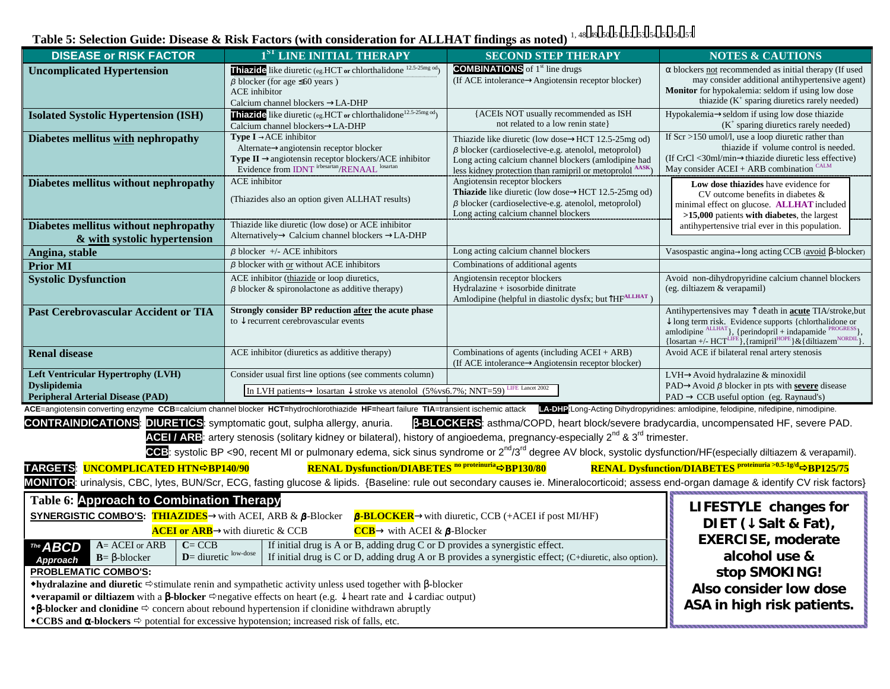Table 5: Selection Guide: Disease & Risk Factors (with consideration for ALLHAT findings as noted)<sup>1, [4](#page-5-0)8, 49, 50, 51, 5[2](#page-5-0), [5](#page-5-0)3, 54, 55, 5[6](#page-5-0), 5[7](#page-5-0)</sup>

| <b>DISEASE or RISK FACTOR</b>                                                                                                                                                                                                                                                                                                                                                      | 1 <sup>ST</sup> LINE INITIAL THERAPY                                                                                                                                                                                          | <b>SECOND STEP THERAPY</b>                                                                                      | <b>NOTES &amp; CAUTIONS</b>                                                                                                                                                                                                                                                                                                           |  |  |  |
|------------------------------------------------------------------------------------------------------------------------------------------------------------------------------------------------------------------------------------------------------------------------------------------------------------------------------------------------------------------------------------|-------------------------------------------------------------------------------------------------------------------------------------------------------------------------------------------------------------------------------|-----------------------------------------------------------------------------------------------------------------|---------------------------------------------------------------------------------------------------------------------------------------------------------------------------------------------------------------------------------------------------------------------------------------------------------------------------------------|--|--|--|
| <b>Uncomplicated Hypertension</b>                                                                                                                                                                                                                                                                                                                                                  | Thiazide like diuretic (eg.HCT or chlorthalidone 12.5-25mg od)                                                                                                                                                                | <b>COMBINATIONS</b> of 1 <sup>st</sup> line drugs                                                               | $\alpha$ blockers not recommended as initial therapy (If used                                                                                                                                                                                                                                                                         |  |  |  |
|                                                                                                                                                                                                                                                                                                                                                                                    | $\beta$ blocker (for age $\leq 60$ years)<br><b>ACE</b> inhibitor                                                                                                                                                             | (If ACE intolerance $\rightarrow$ Angiotensin receptor blocker)                                                 | may consider additional antihypertensive agent)<br><b>Monitor</b> for hypokalemia: seldom if using low dose                                                                                                                                                                                                                           |  |  |  |
|                                                                                                                                                                                                                                                                                                                                                                                    | Calcium channel blockers →LA-DHP                                                                                                                                                                                              |                                                                                                                 | thiazide (K <sup>+</sup> sparing diuretics rarely needed)                                                                                                                                                                                                                                                                             |  |  |  |
| <b>Isolated Systolic Hypertension (ISH)</b>                                                                                                                                                                                                                                                                                                                                        | Thiazide like diuretic (eg.HCT or chlorthalidone <sup>12.5-25mg od</sup> )                                                                                                                                                    | {ACEIs NOT usually recommended as ISH                                                                           | Hypokalemia-seldom if using low dose thiazide                                                                                                                                                                                                                                                                                         |  |  |  |
|                                                                                                                                                                                                                                                                                                                                                                                    | Calcium channel blockers->LA-DHP                                                                                                                                                                                              | not related to a low renin state}                                                                               | $(K^+$ sparing diuretics rarely needed)                                                                                                                                                                                                                                                                                               |  |  |  |
| Diabetes mellitus with nephropathy                                                                                                                                                                                                                                                                                                                                                 | <b>Type I</b> $\rightarrow$ ACE inhibitor<br>Thiazide like diuretic (low dose->HCT 12.5-25mg od)<br>$\beta$ blocker (cardioselective-e.g. atenolol, metoprolol)                                                               |                                                                                                                 | If $Scr > 150$ umol/l, use a loop diuretic rather than                                                                                                                                                                                                                                                                                |  |  |  |
|                                                                                                                                                                                                                                                                                                                                                                                    | Alternate->angiotensin receptor blocker                                                                                                                                                                                       |                                                                                                                 | thiazide if volume control is needed.<br>(If CrCl <30ml/min→thiazide diuretic less effective)                                                                                                                                                                                                                                         |  |  |  |
|                                                                                                                                                                                                                                                                                                                                                                                    | $\begin{minipage}{4.5\linewidth} {\bf Type\ II}\rightarrow {\rm angiotensin receptor\ blockers/ACE\ inhibitor\ Evidence\ from\ IDNT\ \textit{inbsartan}}/{\rm RENAAL} \text{ }^{ {\rm losartan}\ \textit{in}} \end{minipage}$ | Long acting calcium channel blockers (amlodipine had<br>less kidney protection than ramipril or metoprolol AASK | May consider $ACEI + ARB$ combination $CALM$                                                                                                                                                                                                                                                                                          |  |  |  |
| Diabetes mellitus without nephropathy                                                                                                                                                                                                                                                                                                                                              | <b>ACE</b> inhibitor                                                                                                                                                                                                          | Angiotensin receptor blockers                                                                                   | Low dose thiazides have evidence for                                                                                                                                                                                                                                                                                                  |  |  |  |
|                                                                                                                                                                                                                                                                                                                                                                                    | (Thiazides also an option given ALLHAT results)                                                                                                                                                                               | <b>Thiazide</b> like diuretic (low dose $\rightarrow$ HCT 12.5-25mg od)                                         | CV outcome benefits in diabetes &                                                                                                                                                                                                                                                                                                     |  |  |  |
|                                                                                                                                                                                                                                                                                                                                                                                    |                                                                                                                                                                                                                               | $\beta$ blocker (cardioselective-e.g. atenolol, metoprolol)<br>Long acting calcium channel blockers             | minimal effect on glucose. ALLHAT included<br>$>15,000$ patients with diabetes, the largest                                                                                                                                                                                                                                           |  |  |  |
| Diabetes mellitus without nephropathy                                                                                                                                                                                                                                                                                                                                              | Thiazide like diuretic (low dose) or ACE inhibitor                                                                                                                                                                            |                                                                                                                 | antihypertensive trial ever in this population.                                                                                                                                                                                                                                                                                       |  |  |  |
| & with systolic hypertension                                                                                                                                                                                                                                                                                                                                                       | Alternatively $\rightarrow$ Calcium channel blockers $\rightarrow$ LA-DHP                                                                                                                                                     |                                                                                                                 |                                                                                                                                                                                                                                                                                                                                       |  |  |  |
| Angina, stable                                                                                                                                                                                                                                                                                                                                                                     | $\beta$ blocker +/- ACE inhibitors                                                                                                                                                                                            | Long acting calcium channel blockers                                                                            | Vasospastic angina $\rightarrow$ long acting CCB (avoid $\beta$ -blocker)                                                                                                                                                                                                                                                             |  |  |  |
| Prior MI                                                                                                                                                                                                                                                                                                                                                                           | $\beta$ blocker with or without ACE inhibitors                                                                                                                                                                                | Combinations of additional agents                                                                               |                                                                                                                                                                                                                                                                                                                                       |  |  |  |
| <b>Systolic Dysfunction</b>                                                                                                                                                                                                                                                                                                                                                        | ACE inhibitor (thiazide or loop diuretics,                                                                                                                                                                                    | Angiotensin receptor blockers                                                                                   | Avoid non-dihydropyridine calcium channel blockers                                                                                                                                                                                                                                                                                    |  |  |  |
|                                                                                                                                                                                                                                                                                                                                                                                    | $\beta$ blocker & spironolactone as additive therapy)                                                                                                                                                                         | Hydralazine + isosorbide dinitrate<br>Amlodipine (helpful in diastolic dysfx; but THF <sup>ALLHAT</sup> )       | (eg. diltiazem & verapamil)                                                                                                                                                                                                                                                                                                           |  |  |  |
| <b>Past Cerebrovascular Accident or TIA</b>                                                                                                                                                                                                                                                                                                                                        | Strongly consider BP reduction after the acute phase                                                                                                                                                                          |                                                                                                                 | Antihypertensives may $\uparrow$ death in <b>acute</b> TIA/stroke, but                                                                                                                                                                                                                                                                |  |  |  |
|                                                                                                                                                                                                                                                                                                                                                                                    | to $\downarrow$ recurrent cerebrovascular events                                                                                                                                                                              |                                                                                                                 |                                                                                                                                                                                                                                                                                                                                       |  |  |  |
|                                                                                                                                                                                                                                                                                                                                                                                    |                                                                                                                                                                                                                               |                                                                                                                 | $\begin{array}{l} \downarrow \text{ long term risk. Evidence supports (chlorthalidone or }\\ \text{amlodipine }^{\text{ALLHAT}}\}, \text{ (periodoril + indapamide }^{\text{PROGRES}}\},\\ \text{ {losartan +/- HCT}^{\text{LIEE}}\}, \text{ {ramipril }^{\text{HOPE}}\} \& \text{ (diltiazem }^{\text{NORDIL}}\text{)}. \end{array}$ |  |  |  |
| <b>Renal disease</b>                                                                                                                                                                                                                                                                                                                                                               | ACE inhibitor (diuretics as additive therapy)                                                                                                                                                                                 | Combinations of agents (including ACEI + ARB)<br>(If ACE intolerance→Angiotensin receptor blocker)              | Avoid ACE if bilateral renal artery stenosis                                                                                                                                                                                                                                                                                          |  |  |  |
| <b>Left Ventricular Hypertrophy (LVH)</b>                                                                                                                                                                                                                                                                                                                                          | Consider usual first line options (see comments column)                                                                                                                                                                       |                                                                                                                 | LVH→Avoid hydralazine & minoxidil                                                                                                                                                                                                                                                                                                     |  |  |  |
| <b>Dyslipidemia</b><br>In LVH patients $\rightarrow$ losartan $\downarrow$ stroke vs atenolol (5% vs6.7%; NNT=59) <sup>LIFE Lancet 2002</sup>                                                                                                                                                                                                                                      |                                                                                                                                                                                                                               |                                                                                                                 | $PAD \rightarrow A \text{void } \beta$ blocker in pts with severe disease                                                                                                                                                                                                                                                             |  |  |  |
| <b>Peripheral Arterial Disease (PAD)</b><br>$PAD \rightarrow CCB$ useful option (eg. Raynaud's)<br>ACE=angiotensin converting enzyme CCB=calcium channel blocker HCT=hydrochlorothiazide HF=heart failure TIA=transient ischemic attack<br>LA-DHP:Long-Acting Dihydropyridines: amlodipine, felodipine, nifedipine, nimodipine.                                                    |                                                                                                                                                                                                                               |                                                                                                                 |                                                                                                                                                                                                                                                                                                                                       |  |  |  |
|                                                                                                                                                                                                                                                                                                                                                                                    | <b>CONTRAINDICATIONS: DIURETICS:</b> symptomatic gout, sulpha allergy, anuria.                                                                                                                                                | <b>B-BLOCKERS:</b> asthma/COPD, heart block/severe bradycardia, uncompensated HF, severe PAD.                   |                                                                                                                                                                                                                                                                                                                                       |  |  |  |
|                                                                                                                                                                                                                                                                                                                                                                                    | ACEL/ARB: artery stenosis (solitary kidney or bilateral), history of angioedema, pregnancy-especially 2 <sup>nd</sup> & 3 <sup>rd</sup> trimester.                                                                            |                                                                                                                 |                                                                                                                                                                                                                                                                                                                                       |  |  |  |
|                                                                                                                                                                                                                                                                                                                                                                                    | CCB: systolic BP <90, recent MI or pulmonary edema, sick sinus syndrome or 2 <sup>nd</sup> /3 <sup>rd</sup> degree AV block, systolic dysfunction/HF(especially diltiazem & verapamil).                                       |                                                                                                                 |                                                                                                                                                                                                                                                                                                                                       |  |  |  |
|                                                                                                                                                                                                                                                                                                                                                                                    |                                                                                                                                                                                                                               |                                                                                                                 |                                                                                                                                                                                                                                                                                                                                       |  |  |  |
| RENAL Dysfunction/DIABETES Proteinuria >0.5-1g/d $\Rightarrow$ BP125/75<br><b>RENAL Dysfunction/DIABETES <sup>no proteinuria</sup>⇒BP130/80</b><br>TARGETS: UNCOMPLICATED HTN⇒BP140/90<br>MONITOR: urinalysis, CBC, lytes, BUN/Scr, ECG, fasting glucose & lipids. {Baseline: rule out secondary causes ie. Mineralocorticoid; assess end-organ damage & identify CV risk factors} |                                                                                                                                                                                                                               |                                                                                                                 |                                                                                                                                                                                                                                                                                                                                       |  |  |  |
|                                                                                                                                                                                                                                                                                                                                                                                    |                                                                                                                                                                                                                               |                                                                                                                 |                                                                                                                                                                                                                                                                                                                                       |  |  |  |
| <b>Table 6: Approach to Combination Therapy</b><br>LIFESTYLE changes for                                                                                                                                                                                                                                                                                                           |                                                                                                                                                                                                                               |                                                                                                                 |                                                                                                                                                                                                                                                                                                                                       |  |  |  |
| <b>SYNERGISTIC COMBO'S:</b> THIAZIDES with ACEI, ARB & $\beta$ -Blocker $\beta$ -BLOCKER with diuretic, CCB (+ACEI if post MI/HF)                                                                                                                                                                                                                                                  |                                                                                                                                                                                                                               |                                                                                                                 | DIET $(\downarrow$ Salt & Fat),                                                                                                                                                                                                                                                                                                       |  |  |  |
|                                                                                                                                                                                                                                                                                                                                                                                    | <b>ACEI or ARB</b> $\rightarrow$ with diuretic & CCB<br>$\overline{CCB}$ $\rightarrow$ with ACEI & $\beta$ -Blocker                                                                                                           |                                                                                                                 | <b>EXERCISE, moderate</b>                                                                                                                                                                                                                                                                                                             |  |  |  |
| $A = ACEI$ or $ARB$<br>$C = CCB$<br>The <b>ABCD</b>                                                                                                                                                                                                                                                                                                                                | If initial drug is A or B, adding drug C or D provides a synergistic effect.                                                                                                                                                  |                                                                                                                 | alcohol use &                                                                                                                                                                                                                                                                                                                         |  |  |  |
| $D =$ diuretic $\frac{low\text{-}dose}{}$<br>If initial drug is C or D, adding drug A or B provides a synergistic effect; (C+diuretic, also option).<br>$B = \beta$ -blocker<br>Approach                                                                                                                                                                                           |                                                                                                                                                                                                                               |                                                                                                                 |                                                                                                                                                                                                                                                                                                                                       |  |  |  |
| <b>PROBLEMATIC COMBO'S:</b><br>stop SMOKING!<br>•hydralazine and diuretic $\Rightarrow$ stimulate renin and sympathetic activity unless used together with $\beta$ -blocker                                                                                                                                                                                                        |                                                                                                                                                                                                                               |                                                                                                                 |                                                                                                                                                                                                                                                                                                                                       |  |  |  |
|                                                                                                                                                                                                                                                                                                                                                                                    | Also consider low dose                                                                                                                                                                                                        |                                                                                                                 |                                                                                                                                                                                                                                                                                                                                       |  |  |  |
| <b>*verapamil or diltiazem</b> with a <b><math>\beta</math>-blocker</b> $\Rightarrow$ negative effects on heart (e.g. $\downarrow$ heart rate and $\downarrow$ cardiac output)<br>ASA in high risk patients.<br>$\triangle$ B-blocker and clonidine $\Leftrightarrow$ concern about rebound hypertension if clonidine withdrawn abruptly                                           |                                                                                                                                                                                                                               |                                                                                                                 |                                                                                                                                                                                                                                                                                                                                       |  |  |  |
| *CCBS and $\alpha$ -blockers $\Rightarrow$ potential for excessive hypotension; increased risk of falls, etc.                                                                                                                                                                                                                                                                      |                                                                                                                                                                                                                               |                                                                                                                 |                                                                                                                                                                                                                                                                                                                                       |  |  |  |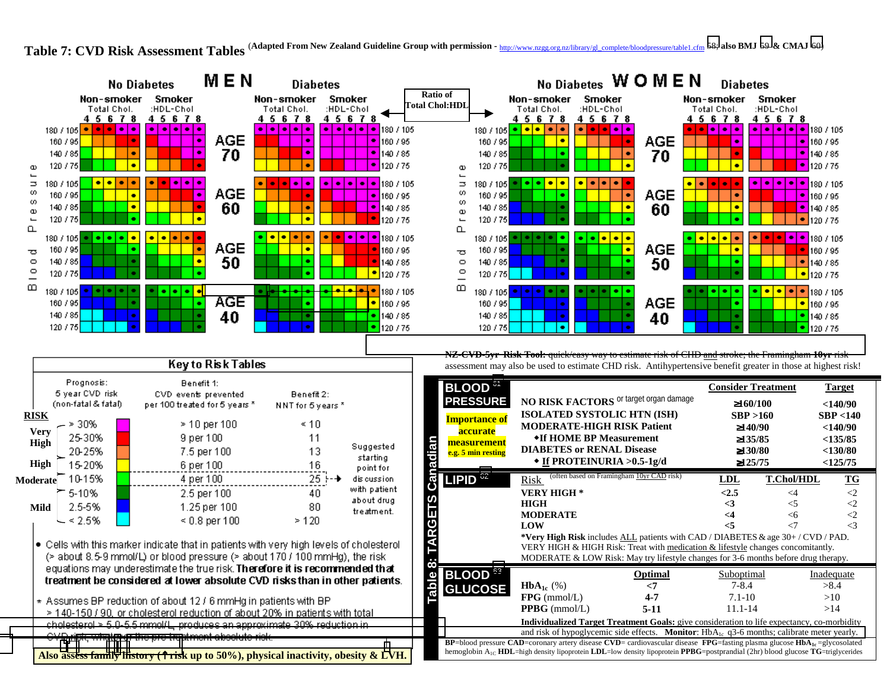Table 7: CVD Risk Assessment Tables <sup>(Adapted From New Zealand Guideline Group with permission - http://www.nzgg.org.nz/library/gl\_complete/bloodpressure/table1.cfm [58;](#page-5-0) also BMJ [59](#page-5-0) & CMAJ [60\)](#page-5-0)</sup>



Key to Risk Tables Prognosis: Benefit 1: 5 year CVD risk CVD events prevented Benefit 2: (non-fatal & fatal) per 100 treated for 5 years \* NNT for 5 years \* **RISK** $-$  > 30%  $>$  10 per 100  $\leq 10$ **Very** 25-30% 9 per 100 11 **High** Suggested 20-25% 7.5 per 100 13 starting **High** 15-20%  $.16$ 6 per 100 point for 25 F 4 per 100 dis cussion **Moderate** with patient 5-10% 2.5 per 100 40 about drug 2.5-5% 1.25 per 100 80 **Mild**treatment.  $\sim$  < 2.5%  $\leq 0.8$  per 100  $>120$ . Cells with this marker indicate that in patients with very high levels of cholesterol (> about 8.5-9 mmol/L) or blood pressure (> about 170 / 100 mmHg), the risk equations may underestimate the true risk. Therefore it is recommended that treatment be considered at lower absolute CVD risks than in other patients. \* Assumes BP reduction of about 12 / 6 mmHg in patients with BP > 140-150 / 90, or cholesterol reduction of about 20% in patients with total cholesterol > 5.0-5.5 mmol/L, produces an approximate 30% reduction in CVD risk, whatever the pre-treatment absolute risk.

**NZ-CVD-5yr Risk Tool:** qu[ick/easy](http://www.nzgg.org.nz/library/gl_complete/bloodpressure/table1.cfm) [way](http://www.nzgg.org.nz/library/gl_complete/bloodpressure/table1.cfm) [to](http://www.nzgg.org.nz/library/gl_complete/bloodpressure/table1.cfm) [estimate](http://www.nzgg.org.nz/library/gl_complete/bloodpressure/table1.cfm) [risk](http://www.nzgg.org.nz/library/gl_complete/bloodpressure/table1.cfm) [of](http://www.nzgg.org.nz/library/gl_complete/bloodpressure/table1.cfm) [CHD](http://www.nzgg.org.nz/library/gl_complete/bloodpressure/table1.cfm) [and](http://www.nzgg.org.nz/library/gl_complete/bloodpressure/table1.cfm) [stroke;](http://www.nzgg.org.nz/library/gl_complete/bloodpressure/table1.cfm) [the](http://www.nzgg.org.nz/library/gl_complete/bloodpressure/table1.cfm) [Framingham](http://www.nzgg.org.nz/library/gl_complete/bloodpressure/table1.cfm) **10yr** risk assessment may also be used to estimate CHD risk. Antihypertensive benefit greater in those at highest risk!

| BLOOD <sup>61</sup>                                                                                                                                                                                                                                                           |                                                                                                                                 | <b>Consider Treatment</b>                                   | <b>Target</b>                                                       |  |  |
|-------------------------------------------------------------------------------------------------------------------------------------------------------------------------------------------------------------------------------------------------------------------------------|---------------------------------------------------------------------------------------------------------------------------------|-------------------------------------------------------------|---------------------------------------------------------------------|--|--|
| <b>PRESSURE</b>                                                                                                                                                                                                                                                               | NO RISK FACTORS or target organ damage                                                                                          | $\geq 160/100$                                              | $<$ 140/90                                                          |  |  |
| <b>Importance of</b><br>accurate<br>measurement<br>$\mathbf{E}$                                                                                                                                                                                                               | ISOLATED SYSTOLIC HTN (ISH)<br><b>MODERATE-HIGH RISK Patient</b><br>•If HOME BP Measurement<br><b>DIABETES or RENAL Disease</b> | SBP >160<br>$\geq 140/90$<br>$\geq$ 135/85<br>$\geq 130/80$ | SBP < 140<br>$<$ 140/90<br>$<$ 135/85<br>$<$ 130/80                 |  |  |
| e.g. 5 min resting<br>ē                                                                                                                                                                                                                                                       | $\bullet$ If PROTEINURIA >0.5-1g/d                                                                                              | $\geq$ 125/75                                               | <125/75                                                             |  |  |
| 62<br><b>LIPID</b>                                                                                                                                                                                                                                                            | (often based on Framingham 10yr CAD risk)<br>Risk                                                                               | LDL                                                         | <b>T.Chol/HDL</b><br>$\underline{\mathbf{T}}\underline{\mathbf{G}}$ |  |  |
|                                                                                                                                                                                                                                                                               | <b>VERY HIGH*</b>                                                                                                               | < 2.5                                                       | $\leq$ 2<br>$\leq$ 4                                                |  |  |
|                                                                                                                                                                                                                                                                               | <b>HIGH</b>                                                                                                                     | <3                                                          | $\leq$<br>$<$ 5                                                     |  |  |
|                                                                                                                                                                                                                                                                               | <b>MODERATE</b>                                                                                                                 | $\leq$ 4                                                    | $\leq$<br>$<$ 6                                                     |  |  |
|                                                                                                                                                                                                                                                                               | LOW                                                                                                                             | $\leq$ 5                                                    | $\leq$ 3<br>$\mathcal{L}$                                           |  |  |
|                                                                                                                                                                                                                                                                               | *Very High Risk includes ALL patients with CAD / DIABETES & age 30+ / CVD / PAD.                                                |                                                             |                                                                     |  |  |
|                                                                                                                                                                                                                                                                               | VERY HIGH & HIGH Risk: Treat with medication & lifestyle changes concomitantly.                                                 |                                                             |                                                                     |  |  |
| $\infty$                                                                                                                                                                                                                                                                      | MODERATE & LOW Risk: May try lifestyle changes for $3-6$ months before drug therapy.                                            |                                                             |                                                                     |  |  |
| BLOOD <sup>63</sup>                                                                                                                                                                                                                                                           | Optimal                                                                                                                         | <b>Suboptimal</b>                                           | Inadequate                                                          |  |  |
| able<br><b>GLUCOSE</b>                                                                                                                                                                                                                                                        | $HbA_{1c}$ (%)<br>$\leq$                                                                                                        | $7 - 8.4$                                                   | >8.4                                                                |  |  |
|                                                                                                                                                                                                                                                                               | $4 - 7$<br>$FPG$ (mmol/L)                                                                                                       | $7.1 - 10$                                                  | >10                                                                 |  |  |
|                                                                                                                                                                                                                                                                               | <b>PPBG</b> ( $mmol/L$ )<br>$5-11$                                                                                              | $11.1 - 14$                                                 | >14                                                                 |  |  |
| Individualized Target Treatment Goals: give consideration to life expectancy, co-morbidity<br>and risk of hypoglycemic side effects. <b>Monitor</b> : $HbA_{1c}$ q3-6 months; calibrate meter yearly.                                                                         |                                                                                                                                 |                                                             |                                                                     |  |  |
| <b>BP</b> =blood pressure CAD=coronary artery disease CVD= cardiovascular disease FPG=fasting plasma glucose $HbA_{1c} = glycosolated$<br>hemoglobin $A_{1C}$ HDL=high density lipoprotein LDL=low density lipoprotein PPBG=postprandial (2hr) blood glucose TG=triglycerides |                                                                                                                                 |                                                             |                                                                     |  |  |
|                                                                                                                                                                                                                                                                               |                                                                                                                                 |                                                             |                                                                     |  |  |

**Also ass[ess](http://www.nzgg.org.nz/library/gl_complete/bloodpressure/table1.cfm) [family](http://www.nzgg.org.nz/library/gl_complete/bloodpressure/table1.cfm) [history](http://www.nzgg.org.nz/library/gl_complete/bloodpressure/table1.cfm) [\(](http://www.nzgg.org.nz/library/gl_complete/bloodpressure/table1.cfm)**↑ **risk up to 50%), physical inactivity, obesity & LVH.**